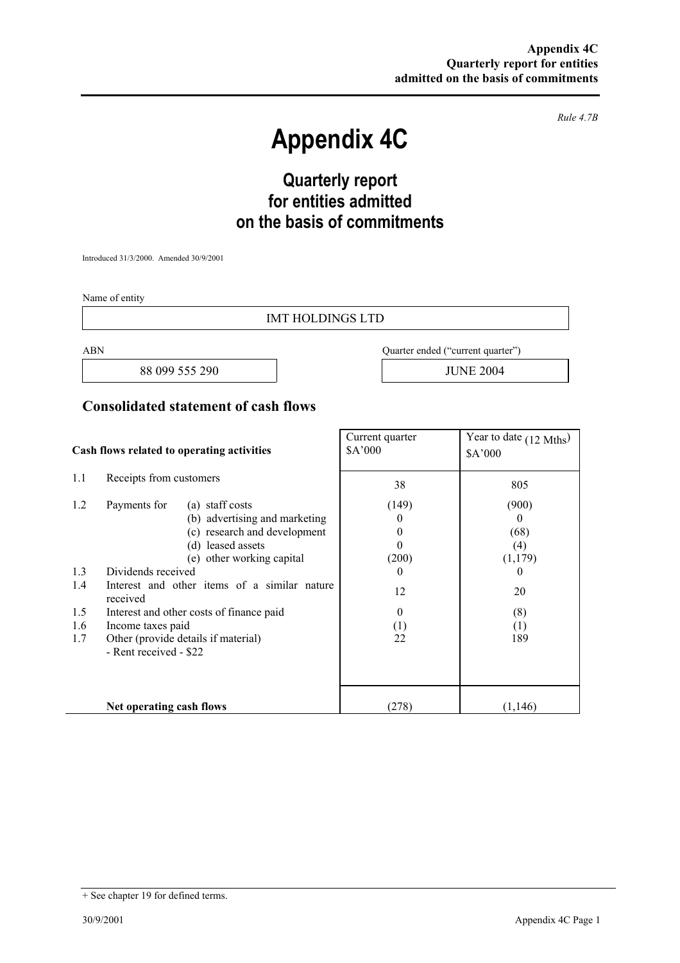*Rule 4.7B* 

# **Appendix 4C**

## **Quarterly report for entities admitted on the basis of commitments**

Introduced 31/3/2000. Amended 30/9/2001

Name of entity

#### IMT HOLDINGS LTD

88 099 555 290 JUNE 2004

ABN Quarter ended ("current quarter")

#### **Consolidated statement of cash flows**

| Cash flows related to operating activities |                                                               |                                                                                                       | Current quarter<br>\$A'000              | Year to date (12 Mths)<br>\$A'000 |
|--------------------------------------------|---------------------------------------------------------------|-------------------------------------------------------------------------------------------------------|-----------------------------------------|-----------------------------------|
| 1.1                                        | Receipts from customers                                       |                                                                                                       | 38                                      | 805                               |
| 1.2                                        | Payments for                                                  | (a) staff costs<br>(b) advertising and marketing<br>(c) research and development<br>(d) leased assets | (149)<br>$_{0}$<br>$\theta$<br>$\theta$ | (900)<br>$\theta$<br>(68)<br>(4)  |
| 1.3                                        | other working capital<br>(e)<br>Dividends received            |                                                                                                       | (200)<br>$\theta$                       | (1,179)<br>$\theta$               |
| 1.4                                        | Interest and other items of a similar nature<br>received      |                                                                                                       | 12                                      | 20                                |
| 1.5                                        | Interest and other costs of finance paid                      |                                                                                                       | $\theta$                                | (8)                               |
| 1.6                                        | Income taxes paid                                             |                                                                                                       | (1)                                     | (1)                               |
| 1.7                                        | Other (provide details if material)<br>- Rent received - \$22 |                                                                                                       | 22                                      | 189                               |
|                                            | Net operating cash flows                                      |                                                                                                       | (278)                                   | (1,146)                           |

<sup>+</sup> See chapter 19 for defined terms.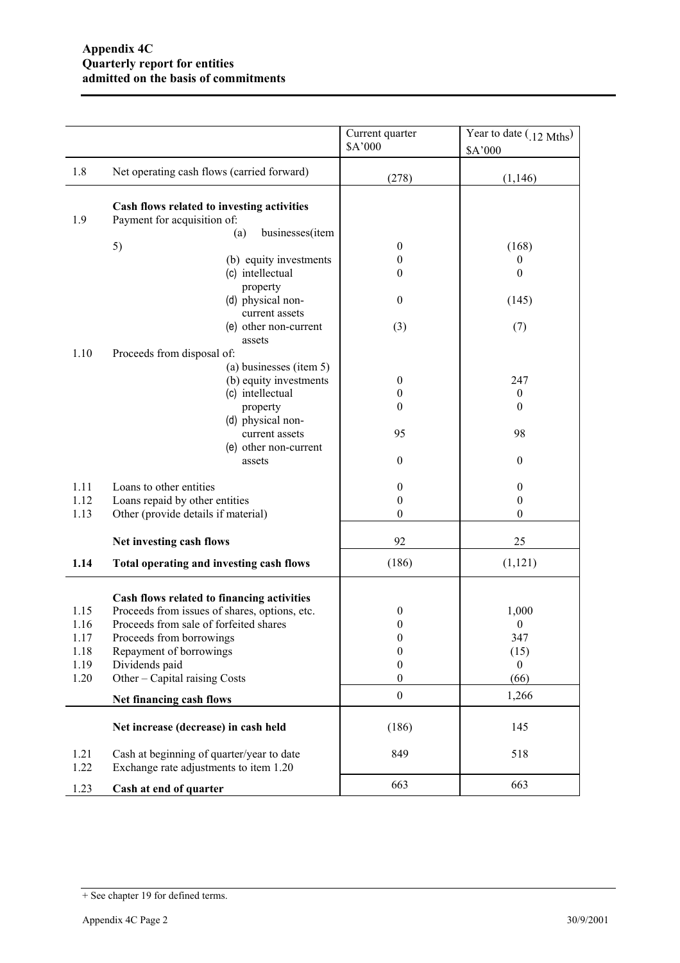|              |                                                                                     | Current quarter<br>\$A'000 | Year to date $(0.12 \text{ Mths})$<br>\$A'000 |
|--------------|-------------------------------------------------------------------------------------|----------------------------|-----------------------------------------------|
| 1.8          | Net operating cash flows (carried forward)                                          | (278)                      | (1,146)                                       |
| 1.9          | Cash flows related to investing activities<br>Payment for acquisition of:           |                            |                                               |
|              | businesses(item<br>(a)                                                              |                            |                                               |
|              | 5)                                                                                  | $\boldsymbol{0}$           | (168)                                         |
|              | (b) equity investments                                                              | 0                          | $\theta$                                      |
|              | (c) intellectual                                                                    | $\overline{0}$             | $\theta$                                      |
|              | property                                                                            | $\boldsymbol{0}$           |                                               |
|              | (d) physical non-<br>current assets                                                 |                            | (145)                                         |
|              | (e) other non-current                                                               | (3)                        | (7)                                           |
|              | assets                                                                              |                            |                                               |
| 1.10         | Proceeds from disposal of:                                                          |                            |                                               |
|              | (a) businesses (item 5)                                                             |                            |                                               |
|              | (b) equity investments                                                              | $\boldsymbol{0}$           | 247                                           |
|              | (c) intellectual                                                                    | 0                          | $\boldsymbol{0}$                              |
|              | property                                                                            | $\boldsymbol{0}$           | $\theta$                                      |
|              | (d) physical non-                                                                   |                            |                                               |
|              | current assets                                                                      | 95                         | 98                                            |
|              | (e) other non-current                                                               |                            |                                               |
|              | assets                                                                              | $\boldsymbol{0}$           | $\mathbf{0}$                                  |
|              |                                                                                     |                            |                                               |
| 1.11         | Loans to other entities                                                             | $\boldsymbol{0}$           | $\mathbf{0}$                                  |
| 1.12         | Loans repaid by other entities                                                      | $\boldsymbol{0}$           | $\mathbf{0}$                                  |
| 1.13         | Other (provide details if material)                                                 | $\boldsymbol{0}$           | $\theta$                                      |
|              | Net investing cash flows                                                            | 92                         | 25                                            |
| 1.14         | Total operating and investing cash flows                                            | (186)                      | (1,121)                                       |
|              | Cash flows related to financing activities                                          |                            |                                               |
| 1.15         | Proceeds from issues of shares, options, etc.                                       | $\boldsymbol{0}$           | 1,000                                         |
| 1.16         | Proceeds from sale of forfeited shares                                              | 0                          | $\boldsymbol{0}$                              |
| 1.17         | Proceeds from borrowings                                                            | 0                          | 347                                           |
| 1.18         | Repayment of borrowings                                                             | $\boldsymbol{0}$           | (15)                                          |
| 1.19         | Dividends paid                                                                      | $\boldsymbol{0}$           | $\mathbf{0}$                                  |
| 1.20         | Other – Capital raising Costs                                                       | $\boldsymbol{0}$           | (66)                                          |
|              | Net financing cash flows                                                            | $\boldsymbol{0}$           | 1,266                                         |
|              | Net increase (decrease) in cash held                                                | (186)                      | 145                                           |
| 1.21<br>1.22 | Cash at beginning of quarter/year to date<br>Exchange rate adjustments to item 1.20 | 849                        | 518                                           |
| 1.23         | Cash at end of quarter                                                              | 663                        | 663                                           |

<sup>+</sup> See chapter 19 for defined terms.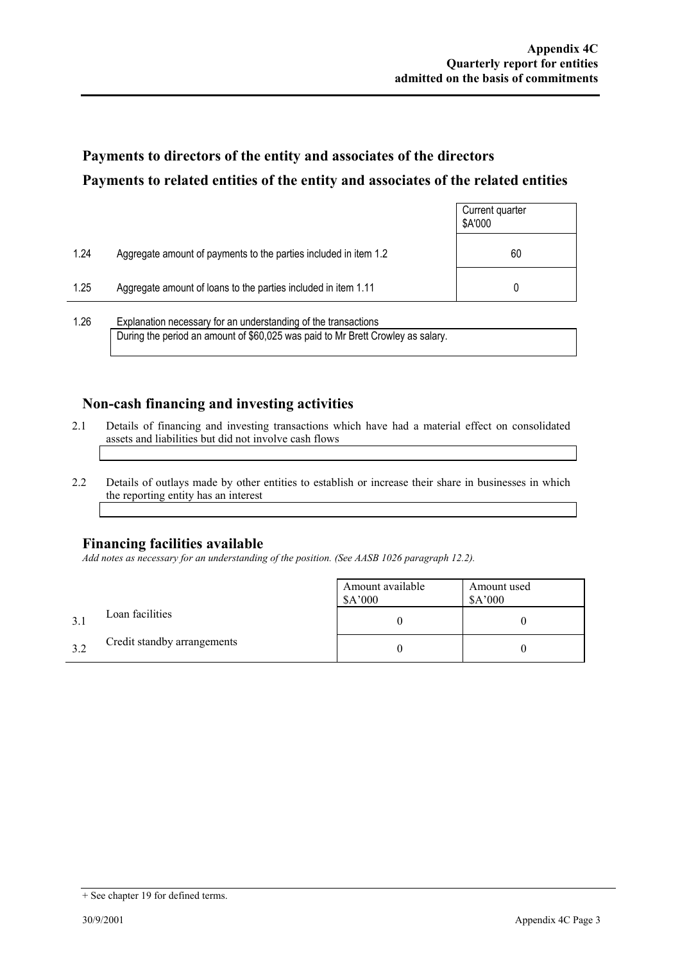ř.

## **Payments to directors of the entity and associates of the directors Payments to related entities of the entity and associates of the related entities**

|      |                                                                  | Current quarter<br>\$A'000 |
|------|------------------------------------------------------------------|----------------------------|
| 1.24 | Aggregate amount of payments to the parties included in item 1.2 | 60                         |
| 1.25 | Aggregate amount of loans to the parties included in item 1.11   |                            |
| 1.26 | Explanation necessary for an understanding of the transactions   |                            |

During the period an amount of \$60,025 was paid to Mr Brett Crowley as salary.

#### **Non-cash financing and investing activities**

- 2.1 Details of financing and investing transactions which have had a material effect on consolidated assets and liabilities but did not involve cash flows
- 2.2 Details of outlays made by other entities to establish or increase their share in businesses in which the reporting entity has an interest

#### **Financing facilities available**

*Add notes as necessary for an understanding of the position. (See AASB 1026 paragraph 12.2).* 

|     |                             | Amount available<br>\$A'000 | Amount used<br>A'000 |
|-----|-----------------------------|-----------------------------|----------------------|
| 3.1 | Loan facilities             |                             |                      |
| 3.2 | Credit standby arrangements |                             |                      |

<sup>+</sup> See chapter 19 for defined terms.